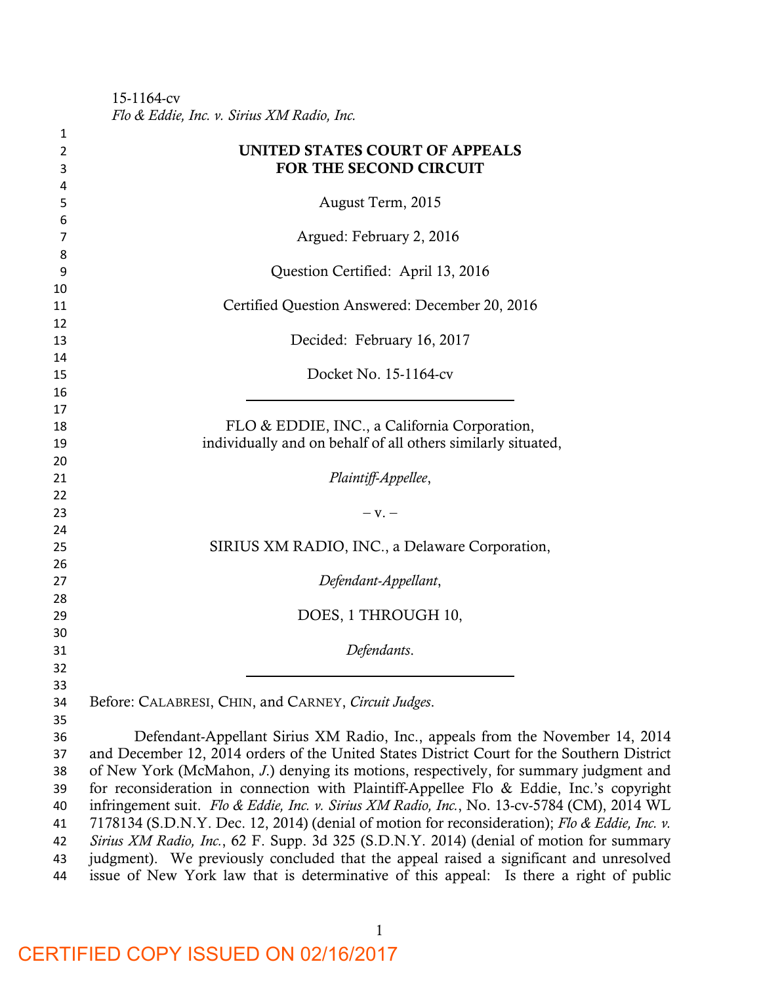15-1164-cv *Flo & Eddie, Inc. v. Sirius XM Radio, Inc.* 

| 1        |                                                                                               |  |  |
|----------|-----------------------------------------------------------------------------------------------|--|--|
| 2        | UNITED STATES COURT OF APPEALS                                                                |  |  |
| 3        | FOR THE SECOND CIRCUIT                                                                        |  |  |
| 4        |                                                                                               |  |  |
| 5        | August Term, 2015                                                                             |  |  |
| 6        |                                                                                               |  |  |
| 7        | Argued: February 2, 2016                                                                      |  |  |
| 8        |                                                                                               |  |  |
| 9        | Question Certified: April 13, 2016                                                            |  |  |
| 10       |                                                                                               |  |  |
| 11       | Certified Question Answered: December 20, 2016                                                |  |  |
| 12       |                                                                                               |  |  |
| 13       | Decided: February 16, 2017                                                                    |  |  |
| 14       |                                                                                               |  |  |
| 15       | Docket No. 15-1164-cv                                                                         |  |  |
| 16       |                                                                                               |  |  |
| 17       |                                                                                               |  |  |
| 18       | FLO & EDDIE, INC., a California Corporation,                                                  |  |  |
| 19       | individually and on behalf of all others similarly situated,                                  |  |  |
| 20<br>21 | Plaintiff-Appellee,                                                                           |  |  |
| 22       |                                                                                               |  |  |
| 23       | $-V.$                                                                                         |  |  |
| 24       |                                                                                               |  |  |
| 25       | SIRIUS XM RADIO, INC., a Delaware Corporation,                                                |  |  |
| 26       |                                                                                               |  |  |
| 27       | Defendant-Appellant,                                                                          |  |  |
| 28       |                                                                                               |  |  |
| 29       | DOES, 1 THROUGH 10,                                                                           |  |  |
| 30       |                                                                                               |  |  |
| 31       | Defendants.                                                                                   |  |  |
| 32       |                                                                                               |  |  |
| 33       |                                                                                               |  |  |
| 34       | Before: CALABRESI, CHIN, and CARNEY, Circuit Judges.                                          |  |  |
| 35       |                                                                                               |  |  |
| 36       | Defendant-Appellant Sirius XM Radio, Inc., appeals from the November 14, 2014                 |  |  |
| 37       | and December 12, 2014 orders of the United States District Court for the Southern District    |  |  |
| 38       | of New York (McMahon, J.) denying its motions, respectively, for summary judgment and         |  |  |
| 39       | for reconsideration in connection with Plaintiff-Appellee Flo & Eddie, Inc.'s copyright       |  |  |
| 40       | infringement suit. Flo & Eddie, Inc. v. Sirius XM Radio, Inc., No. 13-cv-5784 (CM), 2014 WL   |  |  |
| 41       | 7178134 (S.D.N.Y. Dec. 12, 2014) (denial of motion for reconsideration); Flo & Eddie, Inc. v. |  |  |
| 42       | Sirius XM Radio, Inc., 62 F. Supp. 3d 325 (S.D.N.Y. 2014) (denial of motion for summary       |  |  |
| 43       | judgment). We previously concluded that the appeal raised a significant and unresolved        |  |  |
| 44       | issue of New York law that is determinative of this appeal: Is there a right of public        |  |  |

CERTIFIED COPY ISSUED ON 02/16/2017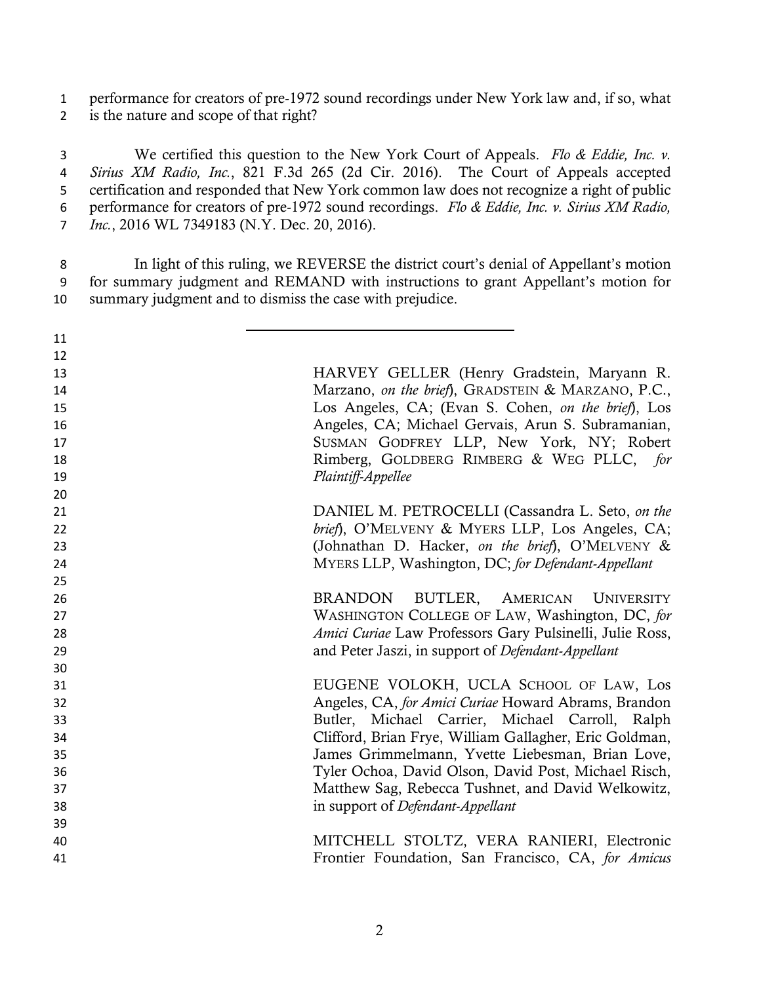performance for creators of pre-1972 sound recordings under New York law and, if so, what is the nature and scope of that right?

 We certified this question to the New York Court of Appeals. *Flo & Eddie, Inc. v. Sirius XM Radio, Inc.*, 821 F.3d 265 (2d Cir. 2016). The Court of Appeals accepted certification and responded that New York common law does not recognize a right of public performance for creators of pre-1972 sound recordings. *Flo & Eddie, Inc. v. Sirius XM Radio, Inc.*, 2016 WL 7349183 (N.Y. Dec. 20, 2016).

 In light of this ruling, we REVERSE the district court's denial of Appellant's motion for summary judgment and REMAND with instructions to grant Appellant's motion for summary judgment and to dismiss the case with prejudice.

| 11 |                                                          |
|----|----------------------------------------------------------|
| 12 |                                                          |
| 13 | HARVEY GELLER (Henry Gradstein, Maryann R.               |
| 14 | Marzano, on the brief), GRADSTEIN & MARZANO, P.C.,       |
| 15 | Los Angeles, CA; (Evan S. Cohen, on the brief), Los      |
| 16 | Angeles, CA; Michael Gervais, Arun S. Subramanian,       |
| 17 | SUSMAN GODFREY LLP, New York, NY; Robert                 |
| 18 | Rimberg, GOLDBERG RIMBERG & WEG PLLC, for                |
| 19 | Plaintiff-Appellee                                       |
| 20 |                                                          |
| 21 | DANIEL M. PETROCELLI (Cassandra L. Seto, on the          |
| 22 | brief), O'MELVENY & MYERS LLP, Los Angeles, CA;          |
| 23 | (Johnathan D. Hacker, on the brief), O'MELVENY &         |
| 24 | MYERS LLP, Washington, DC; for Defendant-Appellant       |
| 25 |                                                          |
| 26 | BRANDON BUTLER, AMERICAN UNIVERSITY                      |
| 27 | WASHINGTON COLLEGE OF LAW, Washington, DC, for           |
| 28 | Amici Curiae Law Professors Gary Pulsinelli, Julie Ross, |
| 29 | and Peter Jaszi, in support of Defendant-Appellant       |
| 30 |                                                          |
| 31 | EUGENE VOLOKH, UCLA SCHOOL OF LAW, Los                   |
| 32 | Angeles, CA, for Amici Curiae Howard Abrams, Brandon     |
| 33 | Butler, Michael Carrier, Michael Carroll, Ralph          |
| 34 | Clifford, Brian Frye, William Gallagher, Eric Goldman,   |
| 35 | James Grimmelmann, Yvette Liebesman, Brian Love,         |
| 36 | Tyler Ochoa, David Olson, David Post, Michael Risch,     |
| 37 | Matthew Sag, Rebecca Tushnet, and David Welkowitz,       |
| 38 | in support of Defendant-Appellant                        |
| 39 |                                                          |
| 40 | MITCHELL STOLTZ, VERA RANIERI, Electronic                |
| 41 | Frontier Foundation, San Francisco, CA, for Amicus       |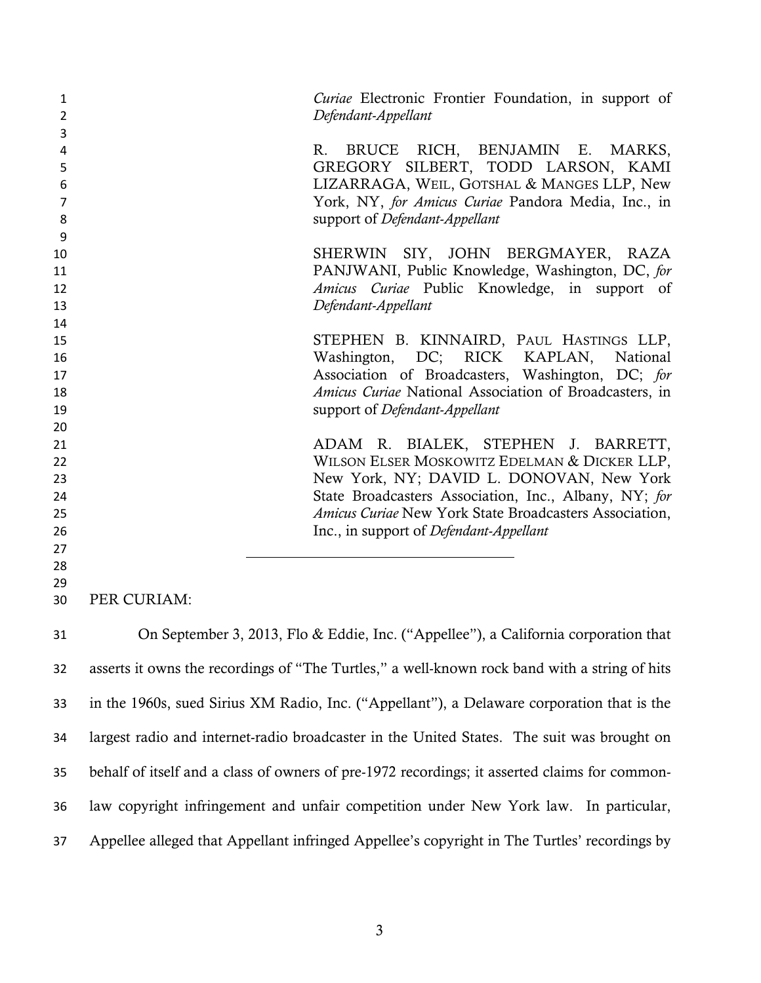| 1<br>$\overline{2}$ |             | Curiae Electronic Frontier Foundation, in support of<br>Defendant-Appellant                   |
|---------------------|-------------|-----------------------------------------------------------------------------------------------|
| 3<br>4              |             | BRUCE RICH, BENJAMIN E.<br>R.<br>MARKS,                                                       |
| 5                   |             | GREGORY SILBERT, TODD LARSON, KAMI                                                            |
| 6                   |             | LIZARRAGA, WEIL, GOTSHAL & MANGES LLP, New                                                    |
| 7                   |             | York, NY, for Amicus Curiae Pandora Media, Inc., in                                           |
| 8                   |             | support of Defendant-Appellant                                                                |
| 9                   |             |                                                                                               |
| 10                  |             | SHERWIN SIY, JOHN BERGMAYER, RAZA                                                             |
| 11                  |             | PANJWANI, Public Knowledge, Washington, DC, for                                               |
| 12                  |             | Amicus Curiae Public Knowledge, in support of                                                 |
| 13                  |             | Defendant-Appellant                                                                           |
| 14                  |             |                                                                                               |
| 15                  |             | STEPHEN B. KINNAIRD, PAUL HASTINGS LLP,<br>Washington,                                        |
| 16<br>17            |             | DC; RICK KAPLAN,<br>National<br>Association of Broadcasters, Washington, DC; for              |
| 18                  |             | Amicus Curiae National Association of Broadcasters, in                                        |
| 19                  |             | support of Defendant-Appellant                                                                |
| 20                  |             |                                                                                               |
| 21                  |             | ADAM R. BIALEK, STEPHEN J. BARRETT,                                                           |
| 22                  |             | WILSON ELSER MOSKOWITZ EDELMAN & DICKER LLP,                                                  |
| 23                  |             | New York, NY; DAVID L. DONOVAN, New York                                                      |
| 24                  |             | State Broadcasters Association, Inc., Albany, NY; for                                         |
| 25                  |             | Amicus Curiae New York State Broadcasters Association,                                        |
| 26                  |             | Inc., in support of Defendant-Appellant                                                       |
| 27                  |             |                                                                                               |
| 28                  |             |                                                                                               |
| 29                  |             |                                                                                               |
| 30                  | PER CURIAM: |                                                                                               |
| 31                  |             | On September 3, 2013, Flo & Eddie, Inc. ("Appellee"), a California corporation that           |
| 32                  |             | asserts it owns the recordings of "The Turtles," a well-known rock band with a string of hits |
| 33                  |             | in the 1960s, sued Sirius XM Radio, Inc. ("Appellant"), a Delaware corporation that is the    |
| 34                  |             | largest radio and internet-radio broadcaster in the United States. The suit was brought on    |
| 35                  |             | behalf of itself and a class of owners of pre-1972 recordings; it asserted claims for common- |

- law copyright infringement and unfair competition under New York law. In particular,
- Appellee alleged that Appellant infringed Appellee's copyright in The Turtles' recordings by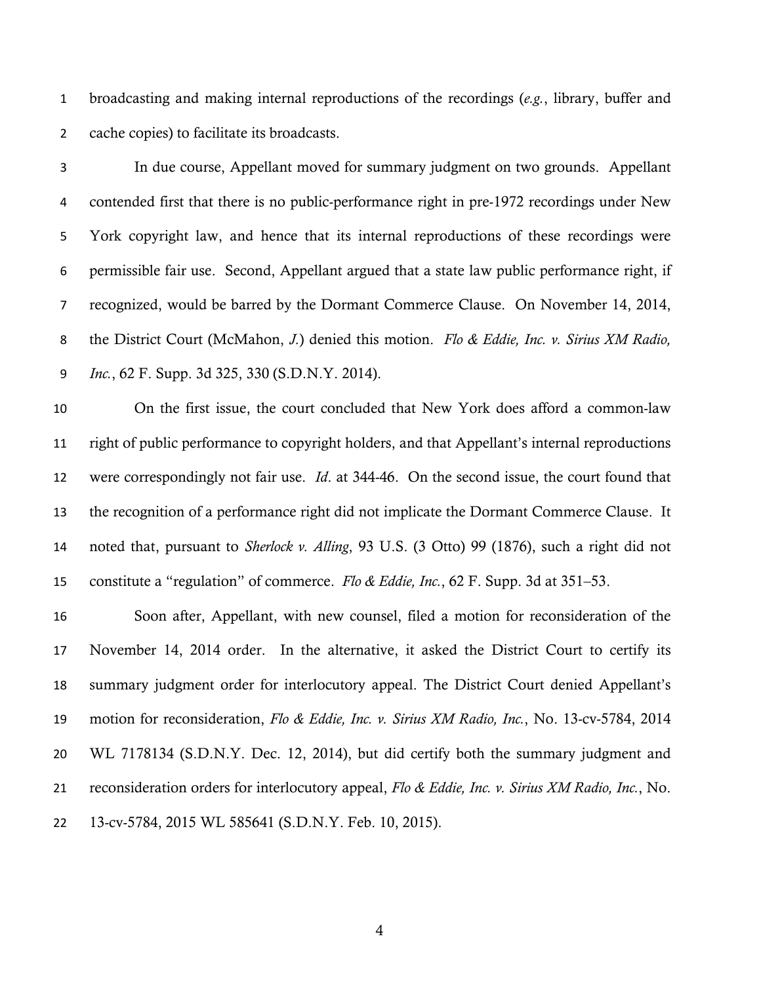broadcasting and making internal reproductions of the recordings (*e.g.*, library, buffer and cache copies) to facilitate its broadcasts.

 In due course, Appellant moved for summary judgment on two grounds. Appellant contended first that there is no public-performance right in pre-1972 recordings under New York copyright law, and hence that its internal reproductions of these recordings were permissible fair use. Second, Appellant argued that a state law public performance right, if recognized, would be barred by the Dormant Commerce Clause. On November 14, 2014, the District Court (McMahon, *J.*) denied this motion. *Flo & Eddie, Inc. v. Sirius XM Radio, Inc.*, 62 F. Supp. 3d 325, 330 (S.D.N.Y. 2014).

 On the first issue, the court concluded that New York does afford a common-law right of public performance to copyright holders, and that Appellant's internal reproductions were correspondingly not fair use. *Id*. at 344-46. On the second issue, the court found that the recognition of a performance right did not implicate the Dormant Commerce Clause. It noted that, pursuant to *Sherlock v. Alling*, 93 U.S. (3 Otto) 99 (1876), such a right did not constitute a "regulation" of commerce. *Flo & Eddie, Inc.*, 62 F. Supp. 3d at 351–53.

 Soon after, Appellant, with new counsel, filed a motion for reconsideration of the November 14, 2014 order. In the alternative, it asked the District Court to certify its summary judgment order for interlocutory appeal. The District Court denied Appellant's motion for reconsideration, *Flo & Eddie, Inc. v. Sirius XM Radio, Inc.*, No. 13-cv-5784, 2014 WL 7178134 (S.D.N.Y. Dec. 12, 2014), but did certify both the summary judgment and reconsideration orders for interlocutory appeal, *Flo & Eddie, Inc. v. Sirius XM Radio, Inc.*, No. 13-cv-5784, 2015 WL 585641 (S.D.N.Y. Feb. 10, 2015).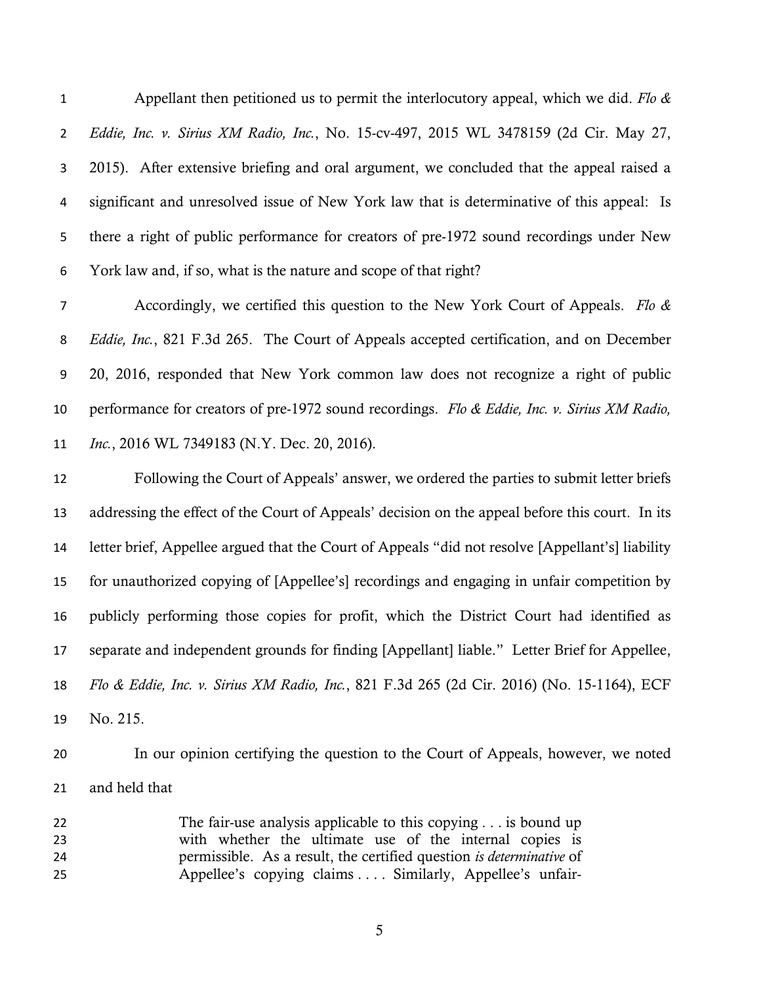Appellant then petitioned us to permit the interlocutory appeal, which we did. *Flo & Eddie, Inc. v. Sirius XM Radio, Inc.*, No. 15-cv-497, 2015 WL 3478159 (2d Cir. May 27, 2015). After extensive briefing and oral argument, we concluded that the appeal raised a significant and unresolved issue of New York law that is determinative of this appeal: Is there a right of public performance for creators of pre-1972 sound recordings under New York law and, if so, what is the nature and scope of that right?

 Accordingly, we certified this question to the New York Court of Appeals. *Flo & Eddie, Inc.*, 821 F.3d 265. The Court of Appeals accepted certification, and on December 20, 2016, responded that New York common law does not recognize a right of public performance for creators of pre-1972 sound recordings. *Flo & Eddie, Inc. v. Sirius XM Radio, Inc.*, 2016 WL 7349183 (N.Y. Dec. 20, 2016).

 Following the Court of Appeals' answer, we ordered the parties to submit letter briefs addressing the effect of the Court of Appeals' decision on the appeal before this court. In its letter brief, Appellee argued that the Court of Appeals "did not resolve [Appellant's] liability for unauthorized copying of [Appellee's] recordings and engaging in unfair competition by publicly performing those copies for profit, which the District Court had identified as separate and independent grounds for finding [Appellant] liable." Letter Brief for Appellee, *Flo & Eddie, Inc. v. Sirius XM Radio, Inc.*, 821 F.3d 265 (2d Cir. 2016) (No. 15-1164), ECF No. 215.

 In our opinion certifying the question to the Court of Appeals, however, we noted and held that

 The fair-use analysis applicable to this copying . . . is bound up with whether the ultimate use of the internal copies is permissible. As a result, the certified question *is determinative* of Appellee's copying claims . . . . Similarly, Appellee's unfair-